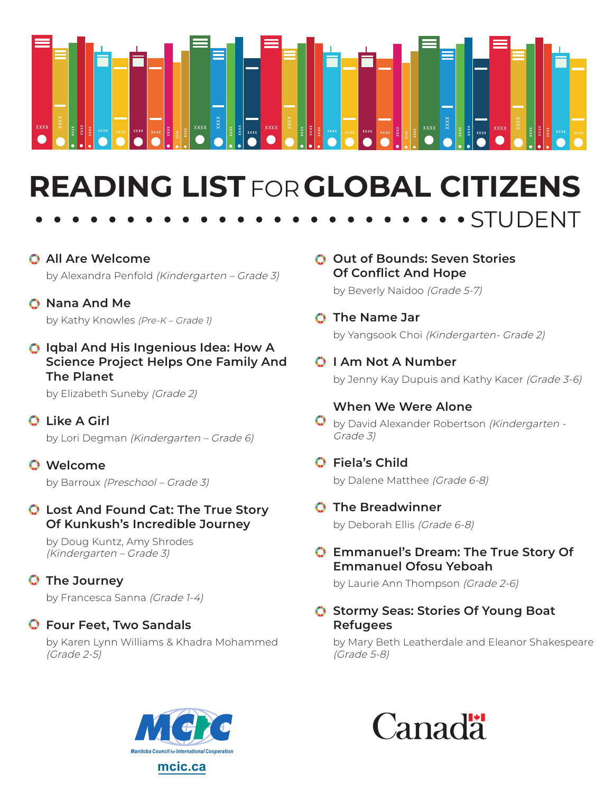

# **READING LIST** FOR**GLOBAL CITIZENS**

- **All Are Welcome** by Alexandra Penfold (Kindergarten - Grade 3)
- **Nana And Me** by Kathy Knowles (Pre-K – Grade 1)
- **Iqbal And His Ingenious Idea: How A Science Project Helps One Family And The Planet**

by Elizabeth Suneby (Grade 2)

- **Like A Girl** by Lori Degman (Kindergarten – Grade 6)
- **Welcome** by Barroux (Preschool - Grade 3)

#### **Lost And Found Cat: The True Story Of Kunkush's Incredible Journey**

by Doug Kuntz, Amy Shrodes (Kindergarten – Grade 3)

## **The Journey**

by Francesca Sanna (Grade 1-4)

#### **Four Feet, Two Sandals**

by Karen Lynn Williams & Khadra Mohammed (Grade 2-5)

**Out of Bounds: Seven Stories Of Conflict And Hope**

by Beverly Naidoo (Grade 5-7)

### **The Name Jar** by Yangsook Choi (Kindergarten- Grade 2)

**I Am Not A Number** by Jenny Kay Dupuis and Kathy Kacer (Grade 3-6)

STUDENT

#### **When We Were Alone**

- by David Alexander Robertson (Kindergarten -Grade 3)
- **Fiela's Child**

by Dalene Matthee (Grade 6-8)

**The Breadwinner** 

by Deborah Ellis (Grade 6-8)

#### **Emmanuel's Dream: The True Story Of Emmanuel Ofosu Yeboah**

by Laurie Ann Thompson (Grade 2-6)

**Stormy Seas: Stories Of Young Boat Refugees**

by Mary Beth Leatherdale and Eleanor Shakespeare (Grade 5-8)